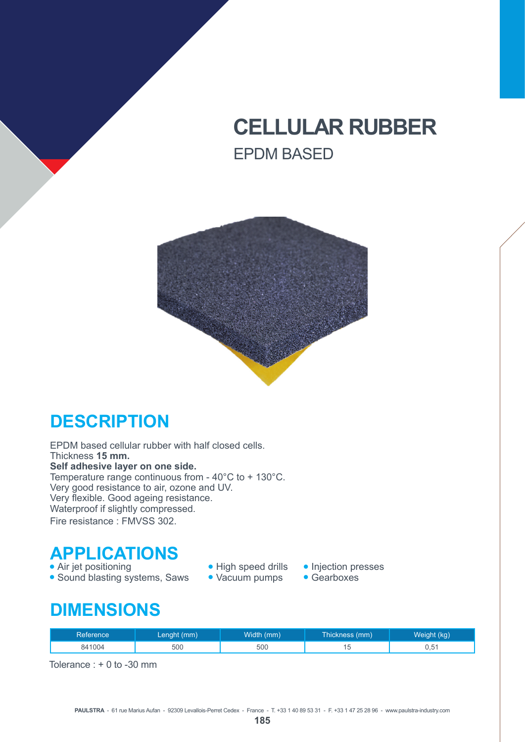## **CELLULAR RUBBER** EPDM BASED



#### **DESCRIPTION**

EPDM based cellular rubber with half closed cells. Thickness **15 mm. Self adhesive layer on one side.** Temperature range continuous from - 40°C to + 130°C. Very good resistance to air, ozone and UV. Very flexible. Good ageing resistance. Waterproof if slightly compressed. Fire resistance : FMVSS 302.

# **APPLICATIONS**<br>• Air jet positioning

- 
- Sound blasting systems, Saws
- High speed drills Injection presses<br>• Vacuum pumps Gearboxes
	-
	-

#### **DIMENSIONS**

| Reference <sup>1</sup> | Lenght (mm) | Width (mm) | Thickness (mm) | Weight (kg) |
|------------------------|-------------|------------|----------------|-------------|
| 841004                 | 500         | 500        |                | 0,51        |

Tolerance : + 0 to -30 mm